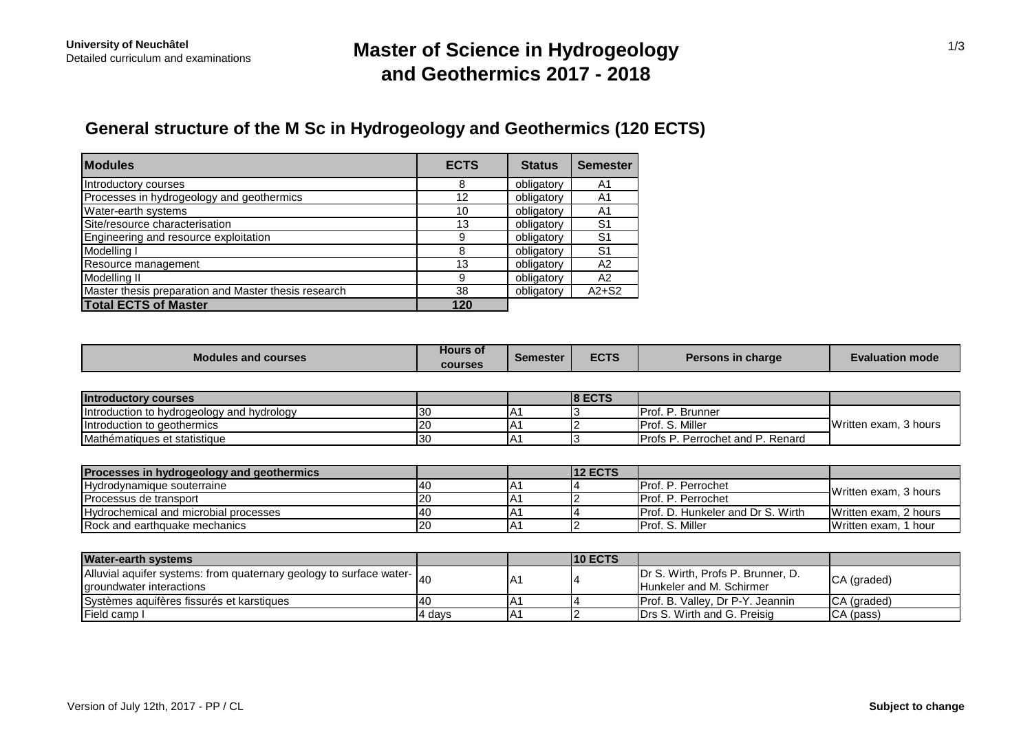## **Master of Science in Hydrogeology and Geothermics 2017 - 2018**

# **General structure of the M Sc in Hydrogeology and Geothermics (120 ECTS)**

| <b>Modules</b>                                       | <b>ECTS</b> | <b>Status</b> | <b>Semester</b> |
|------------------------------------------------------|-------------|---------------|-----------------|
| Introductory courses                                 | 8           | obligatory    | A1              |
| Processes in hydrogeology and geothermics            | 12          | obligatory    | A1              |
| Water-earth systems                                  | 10          | obligatory    | A1              |
| Site/resource characterisation                       | 13          | obligatory    | S1              |
| Engineering and resource exploitation                | 9           | obligatory    | S1              |
| Modelling I                                          |             | obligatory    | S1              |
| Resource management                                  | 13          | obligatory    | A2              |
| Modelling II                                         | 9           | obligatory    | A <sub>2</sub>  |
| Master thesis preparation and Master thesis research | 38          | obligatory    | $A2+S2$         |
| <b>Total ECTS of Master</b>                          | 120         |               |                 |

| <b>Modules and courses</b>                                          | <b>Hours of</b> | <b>Semester</b> | <b>ECTS</b>    | <b>Persons in charge</b>          | <b>Evaluation mode</b>            |  |
|---------------------------------------------------------------------|-----------------|-----------------|----------------|-----------------------------------|-----------------------------------|--|
|                                                                     | <b>courses</b>  |                 |                |                                   |                                   |  |
| <b>Introductory courses</b>                                         |                 |                 | <b>8 ECTS</b>  |                                   |                                   |  |
| Introduction to hydrogeology and hydrology                          | 30              | IA1             |                | <b>I</b> Prof. P. Brunner         | Written exam, 3 hours             |  |
| Introduction to geothermics                                         | 20              | A1              |                | Prof. S. Miller                   |                                   |  |
| Mathématiques et statistique                                        | 30              | IA1             |                | Profs P. Perrochet and P. Renard  |                                   |  |
|                                                                     |                 |                 |                |                                   |                                   |  |
| Processes in hydrogeology and geothermics                           |                 |                 | <b>12 ECTS</b> |                                   |                                   |  |
| Hydrodynamique souterraine                                          | 40              | IA1             |                | Prof. P. Perrochet                | Written exam, 3 hours             |  |
| Processus de transport                                              | 20              | A <sub>1</sub>  |                | Prof. P. Perrochet                |                                   |  |
| Hydrochemical and microbial processes                               | 40              | IA1             |                | Prof. D. Hunkeler and Dr S. Wirth | Written exam, 2 hours             |  |
| Rock and earthquake mechanics                                       | 20              | IA1             |                | Prof. S. Miller                   | Written exam, 1 hour              |  |
|                                                                     |                 |                 |                |                                   |                                   |  |
| <b>Water-earth systems</b>                                          |                 |                 | <b>10 ECTS</b> |                                   |                                   |  |
| Alluvial aquifer systems: from quaternary geology to surface water- | 40              |                 |                |                                   | Dr S. Wirth, Profs P. Brunner, D. |  |
| groundwater interactions                                            |                 | IA1             |                | Hunkeler and M. Schirmer          | CA (graded)                       |  |
| Systèmes aquifères fissurés et karstiques                           | 40              | A <sub>1</sub>  |                | Prof. B. Valley, Dr P-Y. Jeannin  | CA (graded)                       |  |
| Field camp I                                                        | 4 days          | IA1             |                | Drs S. Wirth and G. Preisig       | CA (pass)                         |  |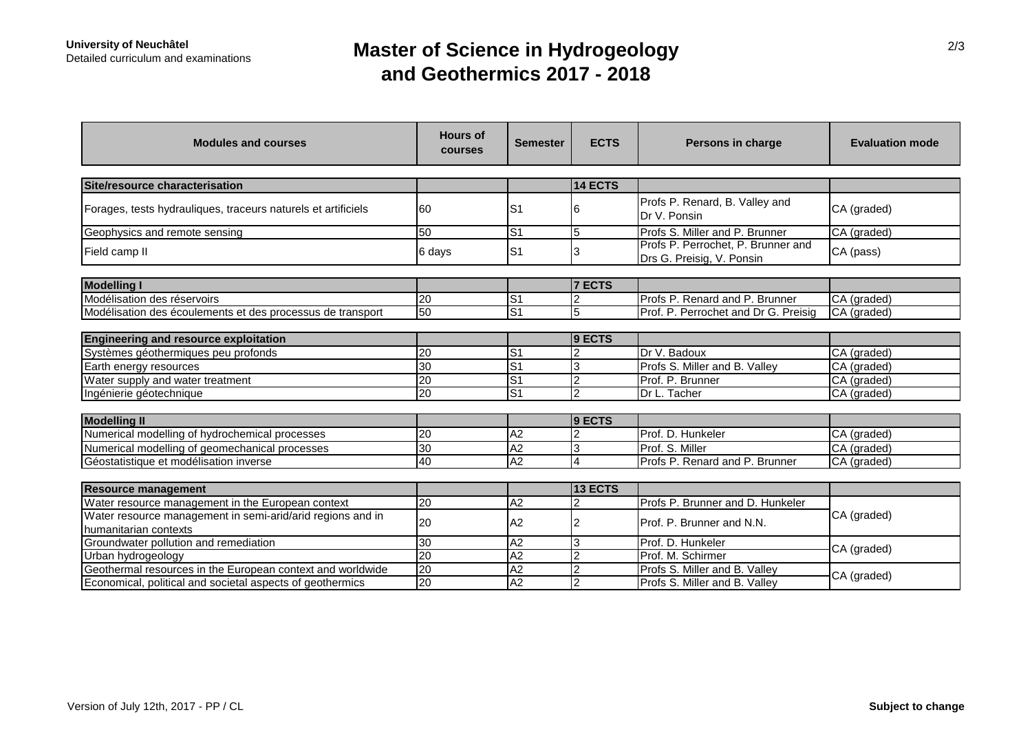## **Master of Science in Hydrogeology and Geothermics 2017 - 2018**

| <b>Modules and courses</b>                                                          | <b>Hours of</b><br>courses | <b>Semester</b>           | <b>ECTS</b>    | Persons in charge                                               | <b>Evaluation mode</b> |  |
|-------------------------------------------------------------------------------------|----------------------------|---------------------------|----------------|-----------------------------------------------------------------|------------------------|--|
|                                                                                     |                            |                           |                |                                                                 |                        |  |
| Site/resource characterisation                                                      |                            |                           | 14 ECTS        |                                                                 |                        |  |
| Forages, tests hydrauliques, traceurs naturels et artificiels                       | 60                         | S <sub>1</sub>            |                | Profs P. Renard, B. Valley and<br>Dr V. Ponsin                  | CA (graded)            |  |
| Geophysics and remote sensing                                                       | 50                         | S <sub>1</sub>            | 5              | Profs S. Miller and P. Brunner                                  | CA (graded)            |  |
| Field camp II                                                                       | 6 days                     | lS1                       | 3              | Profs P. Perrochet, P. Brunner and<br>Drs G. Preisig, V. Ponsin | CA (pass)              |  |
|                                                                                     |                            |                           |                |                                                                 |                        |  |
| <b>Modelling I</b>                                                                  |                            |                           | <b>7 ECTS</b>  |                                                                 |                        |  |
| Modélisation des réservoirs                                                         | 20                         | $\overline{\mathsf{S}^1}$ | 2              | Profs P. Renard and P. Brunner                                  | CA (graded)            |  |
| Modélisation des écoulements et des processus de transport                          | 50                         | IS <sub>1</sub>           | 5              | Prof. P. Perrochet and Dr G. Preisig                            | CA (graded)            |  |
|                                                                                     |                            |                           |                |                                                                 |                        |  |
| <b>Engineering and resource exploitation</b>                                        |                            |                           | 9 ECTS         |                                                                 |                        |  |
| Systèmes géothermiques peu profonds                                                 | $\overline{20}$            | $\overline{\mathsf{s}}$ 1 | $\overline{2}$ | Dr V. Badoux                                                    | CA (graded)            |  |
| Earth energy resources                                                              | $\overline{30}$            | $\overline{S}$            | 3              | Profs S. Miller and B. Valley                                   | CA (graded)            |  |
| Water supply and water treatment                                                    | $\overline{20}$            | S <sub>1</sub>            | $\overline{2}$ | Prof. P. Brunner                                                | CA (graded)            |  |
| Ingénierie géotechnique                                                             | $\overline{20}$            | lS1                       | c              | Dr L. Tacher                                                    | CA (graded)            |  |
|                                                                                     |                            |                           |                |                                                                 |                        |  |
| <b>Modelling II</b>                                                                 |                            |                           | 9 ECTS         |                                                                 |                        |  |
| Numerical modelling of hydrochemical processes                                      | 20                         | A2                        | $\overline{2}$ | Prof. D. Hunkeler                                               | CA (graded)            |  |
| Numerical modelling of geomechanical processes                                      | $\overline{30}$            | A <sub>2</sub>            | 3              | Prof. S. Miller                                                 | CA (graded)            |  |
| Géostatistique et modélisation inverse                                              | $\overline{40}$            | A2                        | 4              | Profs P. Renard and P. Brunner                                  | CA (graded)            |  |
|                                                                                     |                            |                           |                |                                                                 |                        |  |
| <b>Resource management</b>                                                          |                            |                           | <b>13 ECTS</b> |                                                                 |                        |  |
| Water resource management in the European context                                   | $\overline{20}$            | A2                        | $\overline{2}$ | Profs P. Brunner and D. Hunkeler                                | CA (graded)            |  |
| Water resource management in semi-arid/arid regions and in<br>humanitarian contexts | 20                         | A2                        | 2              | <b>IProf. P. Brunner and N.N.</b>                               |                        |  |
| Groundwater pollution and remediation                                               | 30                         | A <sub>2</sub>            | З              | Prof. D. Hunkeler                                               | CA (graded)            |  |
| Urban hydrogeology                                                                  | $\overline{20}$            | A2                        | $\overline{c}$ | Prof. M. Schirmer                                               |                        |  |
| Geothermal resources in the European context and worldwide                          | $\overline{20}$            | A2                        | $\overline{2}$ | Profs S. Miller and B. Valley                                   | CA (graded)            |  |
| Economical, political and societal aspects of geothermics                           | $\overline{20}$            | A <sub>2</sub>            | $\overline{2}$ | Profs S. Miller and B. Valley                                   |                        |  |